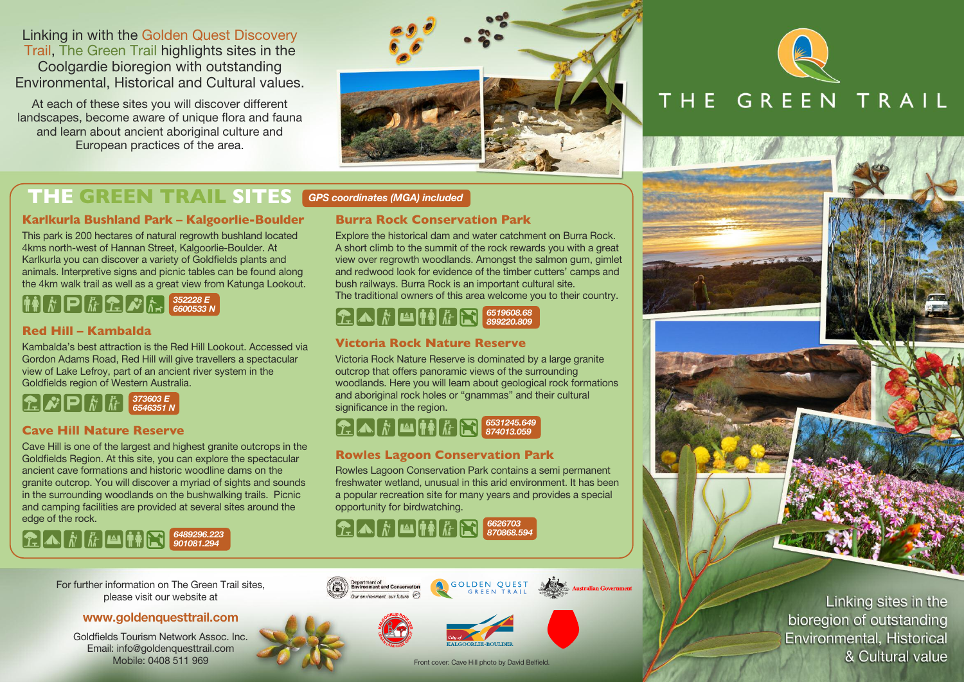Linking in with the Golden Quest Discovery Trail, The Green Trail highlights sites in the Coolgardie bioregion with outstanding Environmental, Historical and Cultural values.

At each of these sites you will discover different landscapes, become aware of unique flora and fauna and learn about ancient aboriginal culture and European practices of the area.



# THE GREEN TRAIL

# **THE GREEN TRAIL SITES** GPS coordinates (MGA) included

### **Karlkurla Bushland Park – Kalgoorlie-Boulder**

This park is 200 hectares of natural regrowth bushland located 4kms north-west of Hannan Street, Kalgoorlie-Boulder. At Karlkurla you can discover a variety of Goldfields plants and animals. Interpretive signs and picnic tables can be found along the 4km walk trail as well as a great view from Katunga Lookout.

### $\left[\begin{matrix} \mathbf{R} \end{matrix}\right]$   $\left[\begin{matrix} \mathbf{R} \end{matrix}\right]$   $\left[\begin{matrix} \mathbf{R} \end{matrix}\right]$   $\left[\begin{matrix} \mathbf{R} \end{matrix}\right]$   $\left[\begin{matrix} \mathbf{R} \end{matrix}\right]$   $\left[\begin{matrix} \mathbf{S} \end{matrix}\right]$   $\left[\begin{matrix} \mathbf{S} \end{matrix}\right]$   $\left[\begin{matrix} \mathbf{S} \end{matrix}\right]$   $\left[\begin{matrix} \mathbf{S} \end{matrix}\right]$   $\left[\begin{matrix} \mathbf{S}$ 6600533 N

### **Red Hill – Kambalda**

Kambalda's best attraction is the Red Hill Lookout. Accessed via Gordon Adams Road, Red Hill will give travellers a spectacular view of Lake Lefroy, part of an ancient river system in the Goldfields region of Western Australia.



## **Cave Hill Nature Reserve**

Cave Hill is one of the largest and highest granite outcrops in the Goldfields Region. At this site, you can explore the spectacular ancient cave formations and historic woodline dams on the granite outcrop. You will discover a myriad of sights and sounds in the surrounding woodlands on the bushwalking trails. Picnic and camping facilities are provided at several sites around the edge of the rock.

### $R$   $\hat{N}$   $\hat{K}$   $\hat{H}$   $\hat{H}$   $\hat{N}$   $\hat{G}$   $901081.294$ 901081.294

For further information on The Green Trail sites, please visit our website at

### www.goldenquesttrail.com

Goldfields Tourism Network Assoc. Inc. Email: info@goldenquesttrail.com Mobile: 0408 511 969

### **Burra Rock Conservation Park**

Explore the historical dam and water catchment on Burra Rock. A short climb to the summit of the rock rewards you with a great view over regrowth woodlands. Amongst the salmon gum, gimlet and redwood look for evidence of the timber cutters' camps and bush railways. Burra Rock is an important cultural site. The traditional owners of this area welcome you to their country.

### $\Omega \Lambda / \hbar$  M  $\sigma / \hbar$ 6519608.68 899220.809

### **Victoria Rock Nature Reserve**

Victoria Rock Nature Reserve is dominated by a large granite outcrop that offers panoramic views of the surrounding woodlands. Here you will learn about geological rock formations and aboriginal rock holes or "gnammas" and their cultural significance in the region.

### $\sum_{i=1}^{n} A_i \left| \vec{r} \right|$   $\sum_{i=1}^{n} \prod_{i=1}^{n} \left| \frac{6531245.649}{874013.059} \right|$ 874013.059

## **Rowles Lagoon Conservation Park**

Rowles Lagoon Conservation Park contains a semi permanent freshwater wetland, unusual in this arid environment. It has been a popular recreation site for many years and provides a special opportunity for birdwatching.

### $\Omega \Lambda / \hbar$  M  $\sigma / \hbar$ 6626703 870868.594



**KALGOORLIE-BOULDER**  $\frac{1}{2}$ 





Front cover: Cave Hill photo by David Belfield.